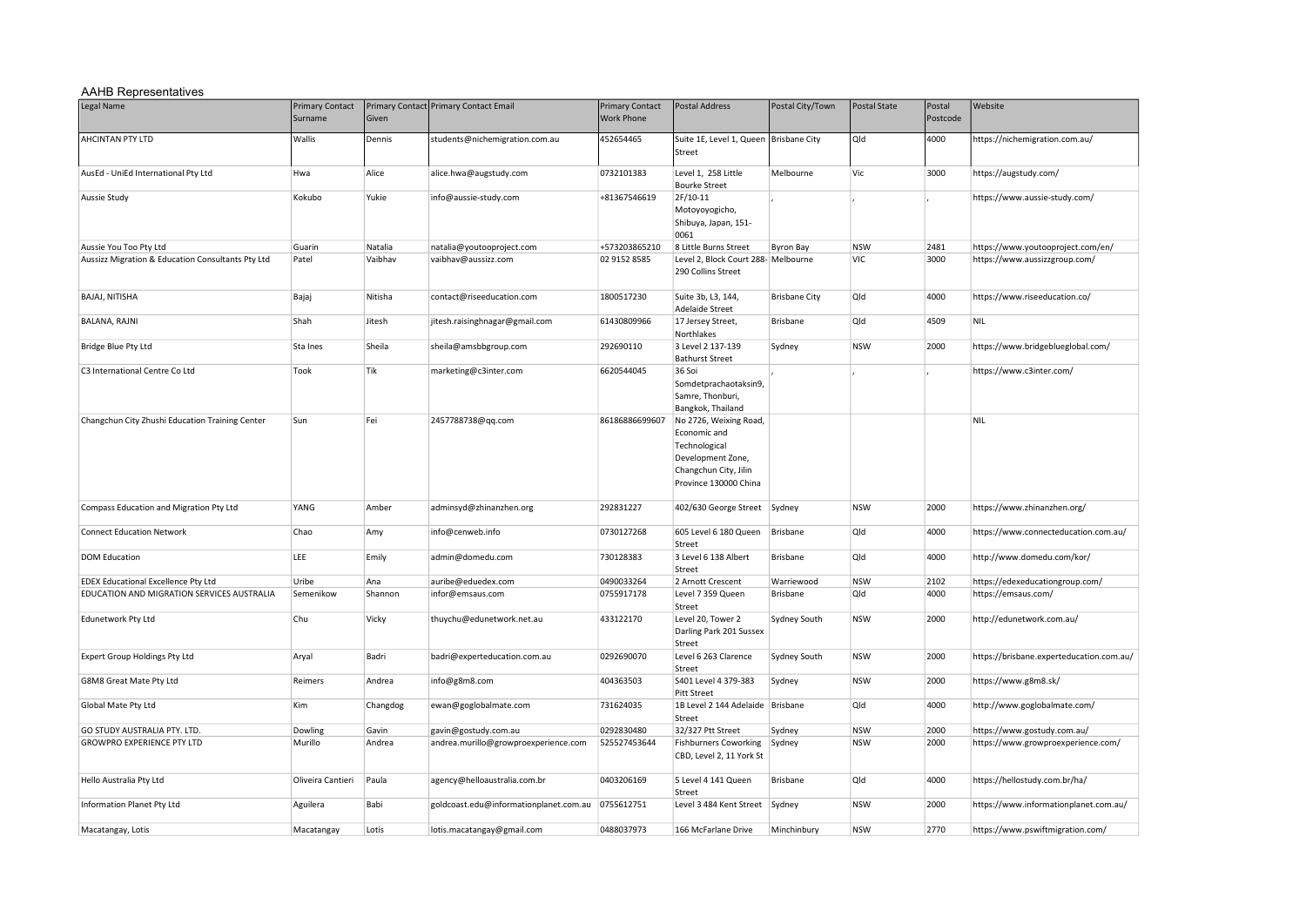## AAHB Representatives

| Legal Name                                        | <b>Primary Contact</b><br>Surname | Given    | Primary Contact Primary Contact Email  | <b>Primary Contact</b><br><b>Work Phone</b> | <b>Postal Address</b>                                                                                                          | Postal City/Town     | <b>Postal State</b> | Postal<br>Postcode | Website                                  |
|---------------------------------------------------|-----------------------------------|----------|----------------------------------------|---------------------------------------------|--------------------------------------------------------------------------------------------------------------------------------|----------------------|---------------------|--------------------|------------------------------------------|
| AHCINTAN PTY LTD                                  | Wallis                            | Dennis   | students@nichemigration.com.au         | 452654465                                   | Suite 1E, Level 1, Queen<br>Street                                                                                             | <b>Brisbane City</b> | Qld                 | 4000               | https://nichemigration.com.au/           |
| AusEd - UniEd International Pty Ltd               | Hwa                               | Alice    | alice.hwa@augstudy.com                 | 0732101383                                  | Level 1, 258 Little<br><b>Bourke Street</b>                                                                                    | Melbourne            | Vic                 | 3000               | https://augstudy.com/                    |
| Aussie Study                                      | Kokubo                            | Yukie    | info@aussie-study.com                  | +81367546619                                | 2F/10-11<br>Motoyoyogicho,<br>Shibuya, Japan, 151-<br>0061                                                                     |                      |                     |                    | https://www.aussie-study.com/            |
| Aussie You Too Pty Ltd                            | Guarin                            | Natalia  | natalia@youtooproject.com              | +573203865210                               | 8 Little Burns Street                                                                                                          | <b>Byron Bay</b>     | <b>NSW</b>          | 2481               | https://www.youtooproject.com/en/        |
| Aussizz Migration & Education Consultants Pty Ltd | Patel                             | Vaibhav  | vaibhav@aussizz.com                    | 02 9152 8585                                | Level 2, Block Court 288- Melbourne<br>290 Collins Street                                                                      |                      | VIC                 | 3000               | https://www.aussizzgroup.com/            |
| BAJAJ, NITISHA                                    | Bajaj                             | Nitisha  | contact@riseeducation.com              | 1800517230                                  | Suite 3b, L3, 144,<br><b>Adelaide Street</b>                                                                                   | <b>Brisbane City</b> | Qld                 | 4000               | https://www.riseeducation.co/            |
| BALANA, RAJNI                                     | Shah                              | Jitesh   | jitesh.raisinghnagar@gmail.com         | 61430809966                                 | 17 Jersey Street,<br>Northlakes                                                                                                | Brisbane             | Qld                 | 4509               | NIL                                      |
| Bridge Blue Pty Ltd                               | Sta Ines                          | Sheila   | sheila@amsbbgroup.com                  | 292690110                                   | 3 Level 2 137-139<br><b>Bathurst Street</b>                                                                                    | Sydney               | <b>NSW</b>          | 2000               | https://www.bridgeblueglobal.com/        |
| C3 International Centre Co Ltd                    | Took                              | Tik      | marketing@c3inter.com                  | 6620544045                                  | 36 Soi<br>Somdetprachaotaksin9,<br>Samre, Thonburi,<br>Bangkok, Thailand                                                       |                      |                     |                    | https://www.c3inter.com/                 |
| Changchun City Zhushi Education Training Center   | Sun                               | Fei      | 2457788738@qq.com                      | 86186886699607                              | No 2726, Weixing Road,<br>Economic and<br>Technological<br>Development Zone,<br>Changchun City, Jilin<br>Province 130000 China |                      |                     |                    | <b>NIL</b>                               |
| Compass Education and Migration Pty Ltd           | YANG                              | Amber    | adminsyd@zhinanzhen.org                | 292831227                                   | 402/630 George Street Sydney                                                                                                   |                      | <b>NSW</b>          | 2000               | https://www.zhinanzhen.org/              |
| <b>Connect Education Network</b>                  | Chao                              | Amy      | info@cenweb.info                       | 0730127268                                  | 605 Level 6 180 Queen<br>Street                                                                                                | Brisbane             | Qld                 | 4000               | https://www.connecteducation.com.au/     |
| <b>DOM Education</b>                              | LEE                               | Emily    | admin@domedu.com                       | 730128383                                   | 3 Level 6 138 Albert<br>Street                                                                                                 | Brisbane             | Qld                 | 4000               | http://www.domedu.com/kor/               |
| <b>EDEX Educational Excellence Pty Ltd</b>        | Uribe                             | Ana      | auribe@eduedex.com                     | 0490033264                                  | 2 Arnott Crescent                                                                                                              | Warriewood           | <b>NSW</b>          | 2102               | https://edexeducationgroup.com/          |
| EDUCATION AND MIGRATION SERVICES AUSTRALIA        | Semenikow                         | Shannon  | infor@emsaus.com                       | 0755917178                                  | Level 7 359 Queen<br>Street                                                                                                    | Brisbane             | Qld                 | 4000               | https://emsaus.com/                      |
| Edunetwork Pty Ltd                                | Chu                               | Vicky    | thuychu@edunetwork.net.au              | 433122170                                   | Level 20, Tower 2<br>Darling Park 201 Sussex<br>Street                                                                         | Sydney South         | <b>NSW</b>          | 2000               | http://edunetwork.com.au/                |
| Expert Group Holdings Pty Ltd                     | Aryal                             | Badri    | badri@experteducation.com.au           | 0292690070                                  | Level 6 263 Clarence<br>Street                                                                                                 | Sydney South         | <b>NSW</b>          | 2000               | https://brisbane.experteducation.com.au/ |
| G8M8 Great Mate Pty Ltd                           | Reimers                           | Andrea   | info@g8m8.com                          | 404363503                                   | S401 Level 4 379-383<br><b>Pitt Street</b>                                                                                     | Sydney               | <b>NSW</b>          | 2000               | https://www.g8m8.sk/                     |
| Global Mate Pty Ltd                               | Kim                               | Changdog | ewan@goglobalmate.com                  | 731624035                                   | 1B Level 2 144 Adelaide Brisbane<br>Street                                                                                     |                      | Qld                 | 4000               | http://www.goglobalmate.com/             |
| GO STUDY AUSTRALIA PTY. LTD.                      | Dowling                           | Gavin    | gavin@gostudy.com.au                   | 0292830480                                  | 32/327 Ptt Street                                                                                                              | Sydney               | <b>NSW</b>          | 2000               | https://www.gostudy.com.au/              |
| <b>GROWPRO EXPERIENCE PTY LTD</b>                 | Murillo                           | Andrea   | andrea.murillo@growproexperience.com   | 525527453644                                | <b>Fishburners Coworking</b><br>CBD, Level 2, 11 York St                                                                       | Sydney               | <b>NSW</b>          | 2000               | https://www.growproexperience.com/       |
| Hello Australia Pty Ltd                           | Oliveira Cantieri                 | Paula    | agency@helloaustralia.com.br           | 0403206169                                  | 5 Level 4 141 Queen<br>Street                                                                                                  | Brisbane             | Qld                 | 4000               | https://hellostudy.com.br/ha/            |
| Information Planet Pty Ltd                        | Aguilera                          | Babi     | goldcoast.edu@informationplanet.com.au | 0755612751                                  | Level 3 484 Kent Street Sydney                                                                                                 |                      | <b>NSW</b>          | 2000               | https://www.informationplanet.com.au/    |
| Macatangay, Lotis                                 | Macatangay                        | Lotis    | lotis.macatangay@gmail.com             | 0488037973                                  | 166 McFarlane Drive                                                                                                            | Minchinbury          | <b>NSW</b>          | 2770               | https://www.pswiftmigration.com/         |